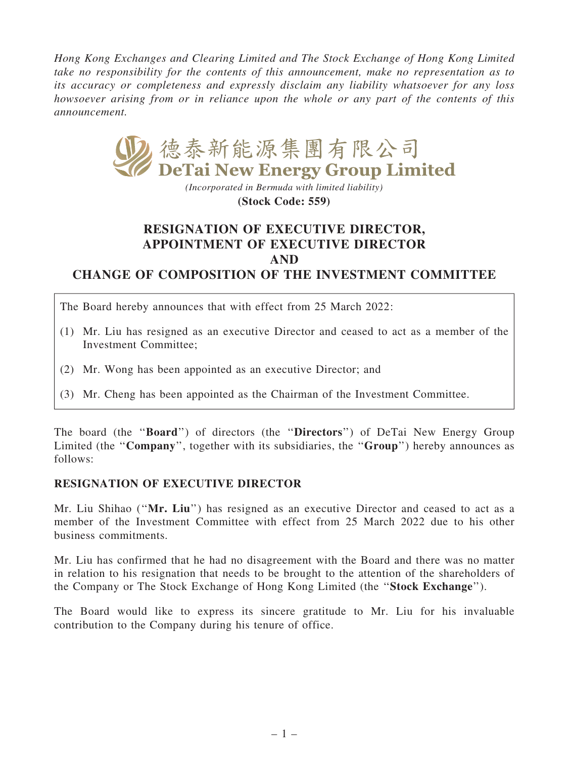Hong Kong Exchanges and Clearing Limited and The Stock Exchange of Hong Kong Limited take no responsibility for the contents of this announcement, make no representation as to its accuracy or completeness and expressly disclaim any liability whatsoever for any loss howsoever arising from or in reliance upon the whole or any part of the contents of this announcement.



*(Incorporated in Bermuda with limited liability)* **(Stock Code: 559)**

## RESIGNATION OF EXECUTIVE DIRECTOR, APPOINTMENT OF EXECUTIVE DIRECTOR AND CHANGE OF COMPOSITION OF THE INVESTMENT COMMITTEE

The Board hereby announces that with effect from 25 March 2022:

- (1) Mr. Liu has resigned as an executive Director and ceased to act as a member of the Investment Committee;
- (2) Mr. Wong has been appointed as an executive Director; and
- (3) Mr. Cheng has been appointed as the Chairman of the Investment Committee.

The board (the "**Board**") of directors (the "**Directors**") of DeTai New Energy Group Limited (the "Company", together with its subsidiaries, the "Group") hereby announces as follows:

## RESIGNATION OF EXECUTIVE DIRECTOR

Mr. Liu Shihao ("Mr. Liu") has resigned as an executive Director and ceased to act as a member of the Investment Committee with effect from 25 March 2022 due to his other business commitments.

Mr. Liu has confirmed that he had no disagreement with the Board and there was no matter in relation to his resignation that needs to be brought to the attention of the shareholders of the Company or The Stock Exchange of Hong Kong Limited (the ''Stock Exchange'').

The Board would like to express its sincere gratitude to Mr. Liu for his invaluable contribution to the Company during his tenure of office.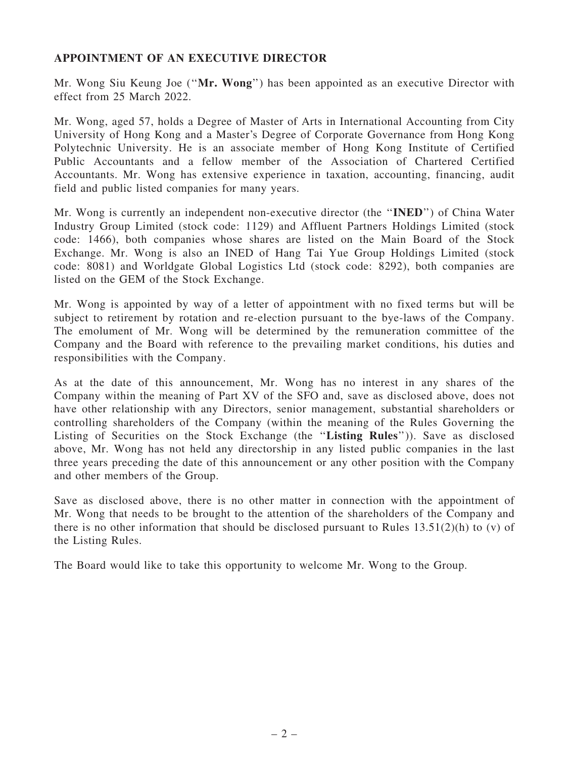## APPOINTMENT OF AN EXECUTIVE DIRECTOR

Mr. Wong Siu Keung Joe (''Mr. Wong'') has been appointed as an executive Director with effect from 25 March 2022.

Mr. Wong, aged 57, holds a Degree of Master of Arts in International Accounting from City University of Hong Kong and a Master's Degree of Corporate Governance from Hong Kong Polytechnic University. He is an associate member of Hong Kong Institute of Certified Public Accountants and a fellow member of the Association of Chartered Certified Accountants. Mr. Wong has extensive experience in taxation, accounting, financing, audit field and public listed companies for many years.

Mr. Wong is currently an independent non-executive director (the ''INED'') of China Water Industry Group Limited (stock code: 1129) and Affluent Partners Holdings Limited (stock code: 1466), both companies whose shares are listed on the Main Board of the Stock Exchange. Mr. Wong is also an INED of Hang Tai Yue Group Holdings Limited (stock code: 8081) and Worldgate Global Logistics Ltd (stock code: 8292), both companies are listed on the GEM of the Stock Exchange.

Mr. Wong is appointed by way of a letter of appointment with no fixed terms but will be subject to retirement by rotation and re-election pursuant to the bye-laws of the Company. The emolument of Mr. Wong will be determined by the remuneration committee of the Company and the Board with reference to the prevailing market conditions, his duties and responsibilities with the Company.

As at the date of this announcement, Mr. Wong has no interest in any shares of the Company within the meaning of Part XV of the SFO and, save as disclosed above, does not have other relationship with any Directors, senior management, substantial shareholders or controlling shareholders of the Company (within the meaning of the Rules Governing the Listing of Securities on the Stock Exchange (the ''Listing Rules'')). Save as disclosed above, Mr. Wong has not held any directorship in any listed public companies in the last three years preceding the date of this announcement or any other position with the Company and other members of the Group.

Save as disclosed above, there is no other matter in connection with the appointment of Mr. Wong that needs to be brought to the attention of the shareholders of the Company and there is no other information that should be disclosed pursuant to Rules  $13.51(2)(h)$  to (v) of the Listing Rules.

The Board would like to take this opportunity to welcome Mr. Wong to the Group.